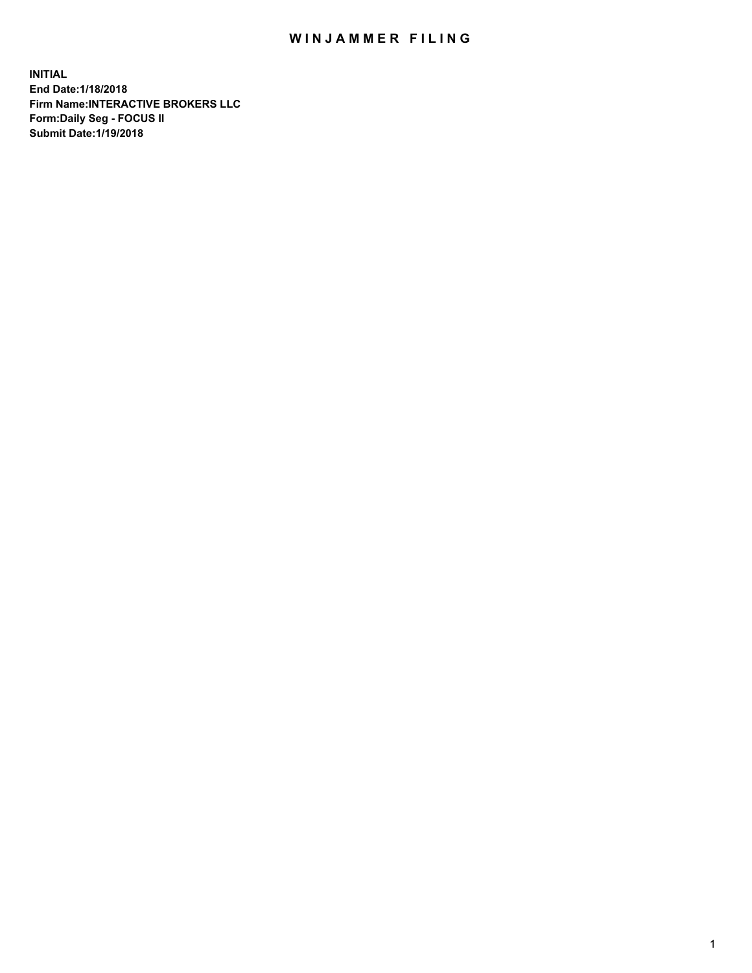## WIN JAMMER FILING

**INITIAL End Date:1/18/2018 Firm Name:INTERACTIVE BROKERS LLC Form:Daily Seg - FOCUS II Submit Date:1/19/2018**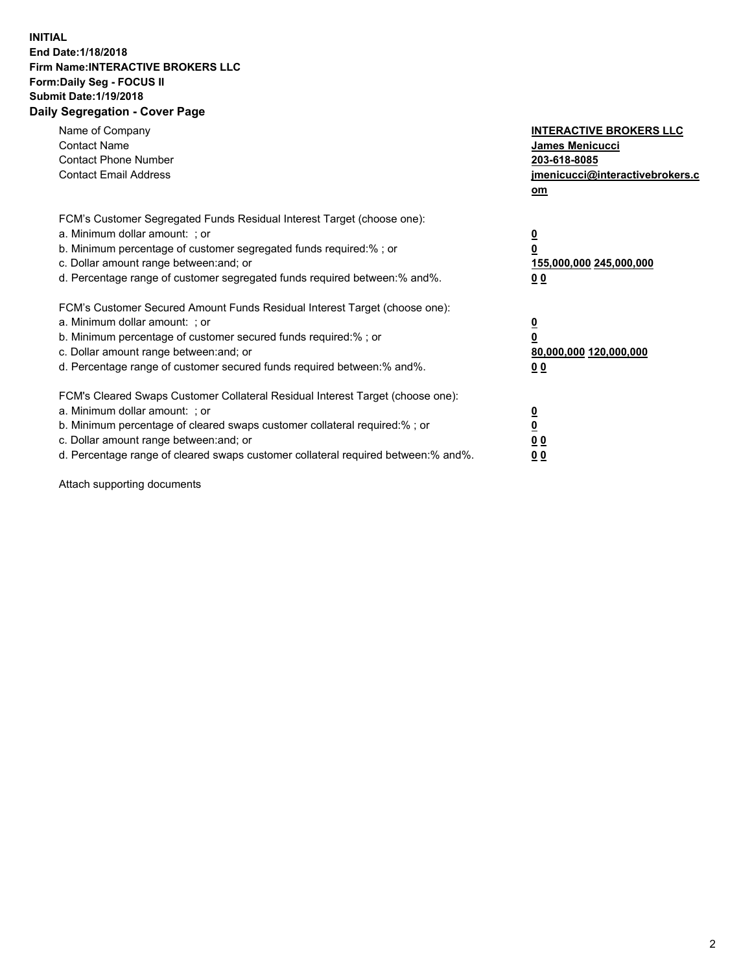## **INITIAL End Date:1/18/2018 Firm Name:INTERACTIVE BROKERS LLC Form:Daily Seg - FOCUS II Submit Date:1/19/2018 Daily Segregation - Cover Page**

| Name of Company<br><b>Contact Name</b><br><b>Contact Phone Number</b><br><b>Contact Email Address</b>                                                                                                                                                                                                                          | <b>INTERACTIVE BROKERS LLC</b><br><b>James Menicucci</b><br>203-618-8085<br>jmenicucci@interactivebrokers.c<br>om |
|--------------------------------------------------------------------------------------------------------------------------------------------------------------------------------------------------------------------------------------------------------------------------------------------------------------------------------|-------------------------------------------------------------------------------------------------------------------|
| FCM's Customer Segregated Funds Residual Interest Target (choose one):<br>a. Minimum dollar amount: ; or<br>b. Minimum percentage of customer segregated funds required:% ; or<br>c. Dollar amount range between: and; or<br>d. Percentage range of customer segregated funds required between: % and %.                       | $\overline{\mathbf{0}}$<br>0<br>155,000,000 245,000,000<br>00                                                     |
| FCM's Customer Secured Amount Funds Residual Interest Target (choose one):<br>a. Minimum dollar amount: ; or<br>b. Minimum percentage of customer secured funds required:%; or<br>c. Dollar amount range between: and; or<br>d. Percentage range of customer secured funds required between: % and %.                          | $\overline{\mathbf{0}}$<br>0<br>80,000,000 120,000,000<br>00                                                      |
| FCM's Cleared Swaps Customer Collateral Residual Interest Target (choose one):<br>a. Minimum dollar amount: ; or<br>b. Minimum percentage of cleared swaps customer collateral required:% ; or<br>c. Dollar amount range between: and; or<br>d. Percentage range of cleared swaps customer collateral required between:% and%. | $\overline{\mathbf{0}}$<br>$\overline{\mathbf{0}}$<br>00<br>0 <sub>0</sub>                                        |

Attach supporting documents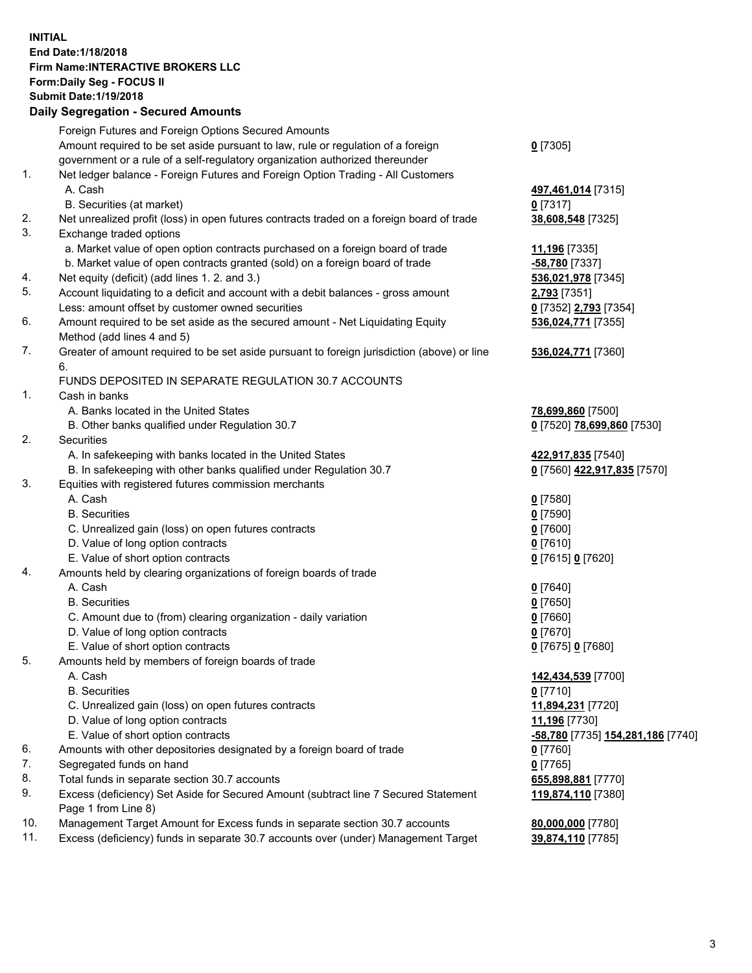## **INITIAL End Date:1/18/2018 Firm Name:INTERACTIVE BROKERS LLC Form:Daily Seg - FOCUS II Submit Date:1/19/2018 Daily Segregation - Secured Amounts**

|     | Daily Jegiegation - Jeculed Aniounts                                                        |                                   |
|-----|---------------------------------------------------------------------------------------------|-----------------------------------|
|     | Foreign Futures and Foreign Options Secured Amounts                                         |                                   |
|     | Amount required to be set aside pursuant to law, rule or regulation of a foreign            | $0$ [7305]                        |
|     | government or a rule of a self-regulatory organization authorized thereunder                |                                   |
| 1.  | Net ledger balance - Foreign Futures and Foreign Option Trading - All Customers             |                                   |
|     | A. Cash                                                                                     | 497,461,014 [7315]                |
|     | B. Securities (at market)                                                                   | $0$ [7317]                        |
| 2.  | Net unrealized profit (loss) in open futures contracts traded on a foreign board of trade   | 38,608,548 [7325]                 |
| 3.  | Exchange traded options                                                                     |                                   |
|     | a. Market value of open option contracts purchased on a foreign board of trade              | 11,196 [7335]                     |
|     | b. Market value of open contracts granted (sold) on a foreign board of trade                | $-58,780$ [7337]                  |
| 4.  | Net equity (deficit) (add lines 1.2. and 3.)                                                | 536,021,978 [7345]                |
| 5.  | Account liquidating to a deficit and account with a debit balances - gross amount           | 2,793 [7351]                      |
|     | Less: amount offset by customer owned securities                                            | 0 [7352] 2,793 [7354]             |
| 6.  | Amount required to be set aside as the secured amount - Net Liquidating Equity              | 536,024,771 [7355]                |
|     | Method (add lines 4 and 5)                                                                  |                                   |
| 7.  | Greater of amount required to be set aside pursuant to foreign jurisdiction (above) or line | 536,024,771 [7360]                |
|     | 6.                                                                                          |                                   |
|     | FUNDS DEPOSITED IN SEPARATE REGULATION 30.7 ACCOUNTS                                        |                                   |
| 1.  | Cash in banks                                                                               |                                   |
|     | A. Banks located in the United States                                                       | 78,699,860 [7500]                 |
|     | B. Other banks qualified under Regulation 30.7                                              | 0 [7520] 78,699,860 [7530]        |
| 2.  | Securities                                                                                  |                                   |
|     | A. In safekeeping with banks located in the United States                                   | 422,917,835 [7540]                |
|     | B. In safekeeping with other banks qualified under Regulation 30.7                          | 0 [7560] 422,917,835 [7570]       |
| 3.  | Equities with registered futures commission merchants                                       |                                   |
|     | A. Cash                                                                                     | $0$ [7580]                        |
|     | <b>B.</b> Securities                                                                        | $0$ [7590]                        |
|     | C. Unrealized gain (loss) on open futures contracts                                         | $0$ [7600]                        |
|     | D. Value of long option contracts                                                           | $0$ [7610]                        |
|     | E. Value of short option contracts                                                          | 0 [7615] 0 [7620]                 |
| 4.  | Amounts held by clearing organizations of foreign boards of trade                           |                                   |
|     | A. Cash                                                                                     | $0$ [7640]                        |
|     | <b>B.</b> Securities                                                                        | $0$ [7650]                        |
|     | C. Amount due to (from) clearing organization - daily variation                             | $0$ [7660]                        |
|     | D. Value of long option contracts                                                           | $0$ [7670]                        |
|     | E. Value of short option contracts                                                          | 0 [7675] 0 [7680]                 |
| 5.  | Amounts held by members of foreign boards of trade                                          |                                   |
|     | A. Cash                                                                                     | 142,434,539 [7700]                |
|     | <b>B.</b> Securities                                                                        | $0$ [7710]                        |
|     | C. Unrealized gain (loss) on open futures contracts                                         | 11,894,231 [7720]                 |
|     | D. Value of long option contracts                                                           | 11,196 [7730]                     |
|     | E. Value of short option contracts                                                          | -58,780 [7735] 154,281,186 [7740] |
| 6.  | Amounts with other depositories designated by a foreign board of trade                      | $0$ [7760]                        |
| 7.  | Segregated funds on hand                                                                    | $0$ [7765]                        |
| 8.  | Total funds in separate section 30.7 accounts                                               | 655,898,881 [7770]                |
| 9.  | Excess (deficiency) Set Aside for Secured Amount (subtract line 7 Secured Statement         | 119,874,110 [7380]                |
|     | Page 1 from Line 8)                                                                         |                                   |
| 10. | Management Target Amount for Excess funds in separate section 30.7 accounts                 | 80,000,000 [7780]                 |
| 11. | Excess (deficiency) funds in separate 30.7 accounts over (under) Management Target          | 39,874,110 [7785]                 |
|     |                                                                                             |                                   |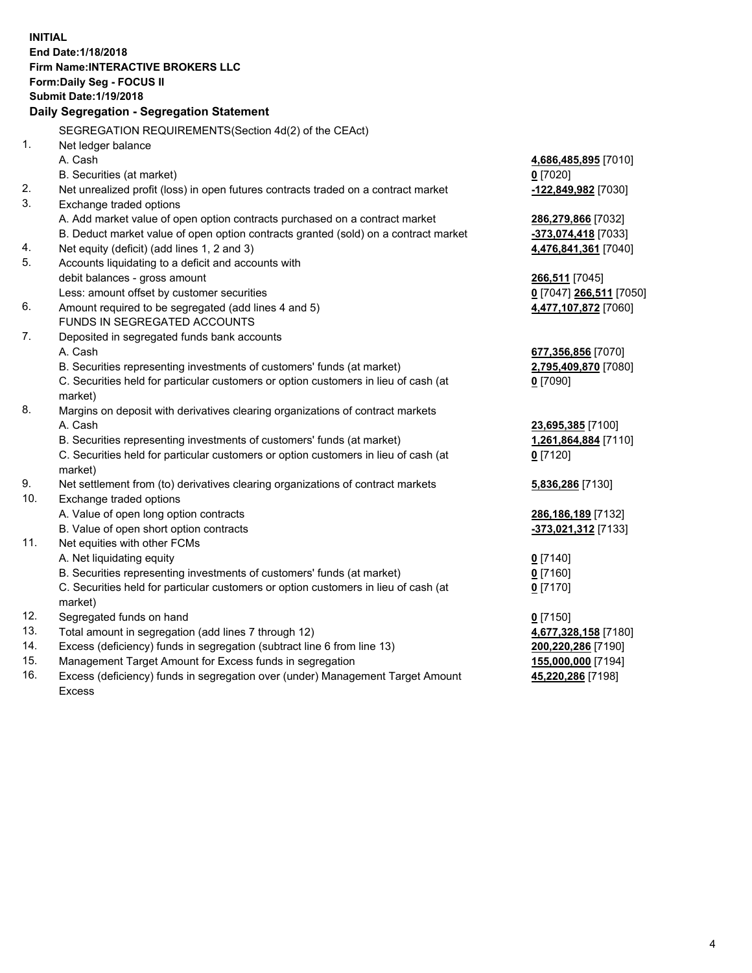**INITIAL End Date:1/18/2018 Firm Name:INTERACTIVE BROKERS LLC Form:Daily Seg - FOCUS II Submit Date:1/19/2018 Daily Segregation - Segregation Statement** SEGREGATION REQUIREMENTS(Section 4d(2) of the CEAct) 1. Net ledger balance A. Cash **4,686,485,895** [7010] B. Securities (at market) **0** [7020] 2. Net unrealized profit (loss) in open futures contracts traded on a contract market **-122,849,982** [7030] 3. Exchange traded options A. Add market value of open option contracts purchased on a contract market **286,279,866** [7032] B. Deduct market value of open option contracts granted (sold) on a contract market **-373,074,418** [7033] 4. Net equity (deficit) (add lines 1, 2 and 3) **4,476,841,361** [7040] 5. Accounts liquidating to a deficit and accounts with debit balances - gross amount **266,511** [7045] Less: amount offset by customer securities **0** [7047] **266,511** [7050] 6. Amount required to be segregated (add lines 4 and 5) **4,477,107,872** [7060] FUNDS IN SEGREGATED ACCOUNTS 7. Deposited in segregated funds bank accounts A. Cash **677,356,856** [7070] B. Securities representing investments of customers' funds (at market) **2,795,409,870** [7080] C. Securities held for particular customers or option customers in lieu of cash (at market) **0** [7090] 8. Margins on deposit with derivatives clearing organizations of contract markets A. Cash **23,695,385** [7100] B. Securities representing investments of customers' funds (at market) **1,261,864,884** [7110] C. Securities held for particular customers or option customers in lieu of cash (at market) **0** [7120] 9. Net settlement from (to) derivatives clearing organizations of contract markets **5,836,286** [7130] 10. Exchange traded options A. Value of open long option contracts **286,186,189** [7132] B. Value of open short option contracts **-373,021,312** [7133] 11. Net equities with other FCMs A. Net liquidating equity **0** [7140] B. Securities representing investments of customers' funds (at market) **0** [7160] C. Securities held for particular customers or option customers in lieu of cash (at market) **0** [7170] 12. Segregated funds on hand **0** [7150] 13. Total amount in segregation (add lines 7 through 12) **4,677,328,158** [7180] 14. Excess (deficiency) funds in segregation (subtract line 6 from line 13) **200,220,286** [7190] 15. Management Target Amount for Excess funds in segregation **155,000,000** [7194] **45,220,286** [7198]

16. Excess (deficiency) funds in segregation over (under) Management Target Amount Excess